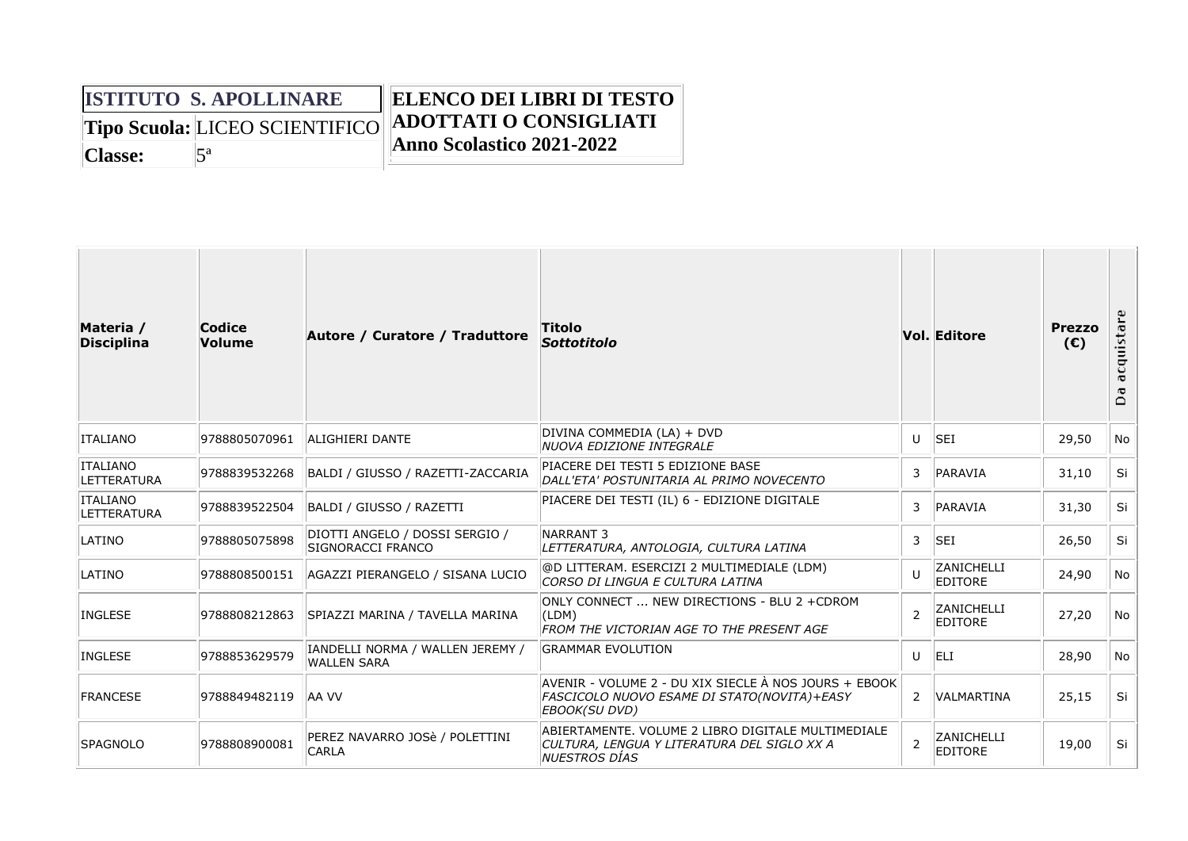|                | <b>ISTITUTO S. APOLLINARE</b> | <b>ELENCO DEI LIBRI DI TESTO</b>                      |
|----------------|-------------------------------|-------------------------------------------------------|
|                |                               | Tipo Scuola: LICEO SCIENTIFICO ADOTTATI O CONSIGLIATI |
| <b>Classe:</b> |                               | Anno Scolastico 2021-2022                             |

| Materia /<br><b>Disciplina</b>        | Codice<br>Volume | Autore / Curatore / Traduttore                         | Titolo<br><b>Sottotitolo</b>                                                                                                 |                | <b>Vol. Editore</b>          | <b>Prezzo</b><br>(E) | cquistar<br>$\bar{a}$<br>≏ |
|---------------------------------------|------------------|--------------------------------------------------------|------------------------------------------------------------------------------------------------------------------------------|----------------|------------------------------|----------------------|----------------------------|
| <b>ITALIANO</b>                       | 9788805070961    | <b>ALIGHIERI DANTE</b>                                 | DIVINA COMMEDIA (LA) + DVD<br><b>NUOVA EDIZIONE INTEGRALE</b>                                                                | U              | <b>SEI</b>                   | 29,50                | No                         |
| <b>ITALIANO</b><br><b>LETTERATURA</b> | 9788839532268    | BALDI / GIUSSO / RAZETTI-ZACCARIA                      | PIACERE DEI TESTI 5 EDIZIONE BASE<br>DALL'ETA' POSTUNITARIA AL PRIMO NOVECENTO                                               | 3              | PARAVIA                      | 31,10                | Si                         |
| <b>ITALIANO</b><br><b>LETTERATURA</b> | 9788839522504    | BALDI / GIUSSO / RAZETTI                               | PIACERE DEI TESTI (IL) 6 - EDIZIONE DIGITALE                                                                                 | 3              | PARAVIA                      | 31,30                | Si                         |
| LATINO                                | 9788805075898    | DIOTTI ANGELO / DOSSI SERGIO /<br>SIGNORACCI FRANCO    | NARRANT <sub>3</sub><br>LETTERATURA, ANTOLOGIA, CULTURA LATINA                                                               | 3              | <b>SEI</b>                   | 26,50                | Si                         |
| LATINO                                | 9788808500151    | AGAZZI PIERANGELO / SISANA LUCIO                       | @D LITTERAM. ESERCIZI 2 MULTIMEDIALE (LDM)<br>CORSO DI LINGUA E CULTURA LATINA                                               | $\mathbf{U}$   | ZANICHELLI<br><b>EDITORE</b> | 24,90                | No                         |
| <b>INGLESE</b>                        | 9788808212863    | SPIAZZI MARINA / TAVELLA MARINA                        | ONLY CONNECT  NEW DIRECTIONS - BLU 2 + CDROM<br>(LDM)<br>FROM THE VICTORIAN AGE TO THE PRESENT AGE                           | $\overline{2}$ | ZANICHELLI<br>EDITORE        | 27,20                | No                         |
| <b>INGLESE</b>                        | 9788853629579    | IANDELLI NORMA / WALLEN JEREMY /<br><b>WALLEN SARA</b> | <b>GRAMMAR EVOLUTION</b>                                                                                                     | U              | ELI.                         | 28,90                | No.                        |
| <b>FRANCESE</b>                       | 9788849482119    | AA VV                                                  | AVENIR - VOLUME 2 - DU XIX SIECLE À NOS JOURS + EBOOK<br>FASCICOLO NUOVO ESAME DI STATO(NOVITA)+EASY<br><b>EBOOK(SU DVD)</b> | $\mathbf{2}$   | VALMARTINA                   | 25,15                | Si                         |
| <b>SPAGNOLO</b>                       | 9788808900081    | PEREZ NAVARRO JOSè / POLETTINI<br><b>CARLA</b>         | ABIERTAMENTE. VOLUME 2 LIBRO DIGITALE MULTIMEDIALE<br>CULTURA, LENGUA Y LITERATURA DEL SIGLO XX A<br>NUESTROS DÍAS           | $\overline{2}$ | ZANICHELLI<br><b>EDITORE</b> | 19,00                | Si                         |